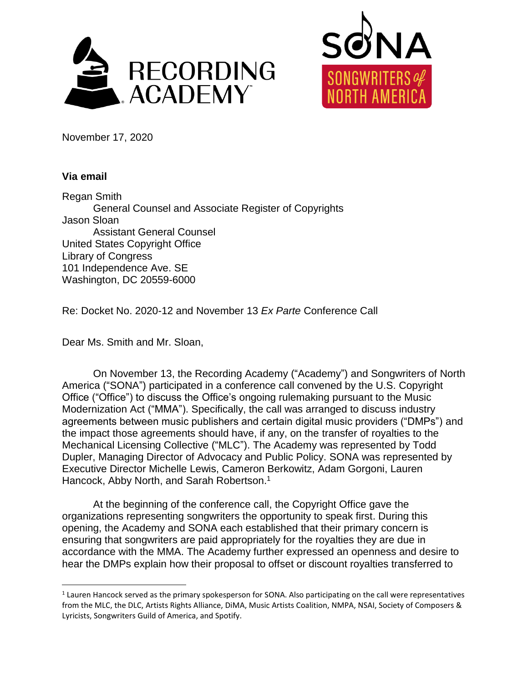



November 17, 2020

## **Via email**

 $\overline{a}$ 

Regan Smith General Counsel and Associate Register of Copyrights Jason Sloan Assistant General Counsel United States Copyright Office Library of Congress 101 Independence Ave. SE Washington, DC 20559-6000

Re: Docket No. 2020-12 and November 13 *Ex Parte* Conference Call

Dear Ms. Smith and Mr. Sloan,

On November 13, the Recording Academy ("Academy") and Songwriters of North America ("SONA") participated in a conference call convened by the U.S. Copyright Office ("Office") to discuss the Office's ongoing rulemaking pursuant to the Music Modernization Act ("MMA"). Specifically, the call was arranged to discuss industry agreements between music publishers and certain digital music providers ("DMPs") and the impact those agreements should have, if any, on the transfer of royalties to the Mechanical Licensing Collective ("MLC"). The Academy was represented by Todd Dupler, Managing Director of Advocacy and Public Policy. SONA was represented by Executive Director Michelle Lewis, Cameron Berkowitz, Adam Gorgoni, Lauren Hancock, Abby North, and Sarah Robertson.<sup>1</sup>

At the beginning of the conference call, the Copyright Office gave the organizations representing songwriters the opportunity to speak first. During this opening, the Academy and SONA each established that their primary concern is ensuring that songwriters are paid appropriately for the royalties they are due in accordance with the MMA. The Academy further expressed an openness and desire to hear the DMPs explain how their proposal to offset or discount royalties transferred to

<sup>&</sup>lt;sup>1</sup> Lauren Hancock served as the primary spokesperson for SONA. Also participating on the call were representatives from the MLC, the DLC, Artists Rights Alliance, DiMA, Music Artists Coalition, NMPA, NSAI, Society of Composers & Lyricists, Songwriters Guild of America, and Spotify.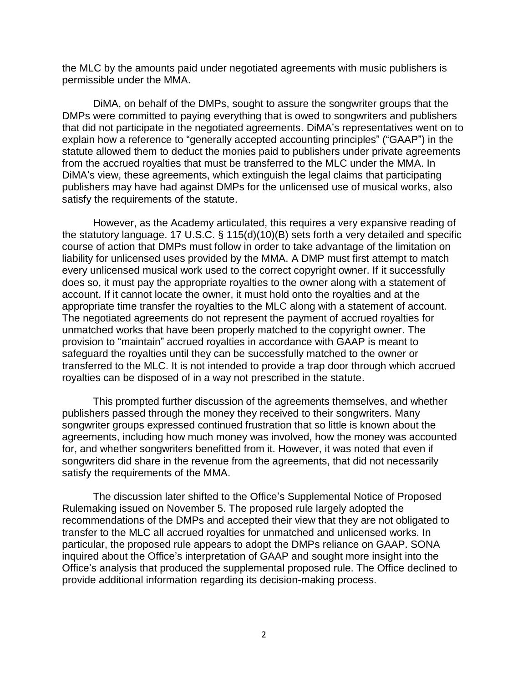the MLC by the amounts paid under negotiated agreements with music publishers is permissible under the MMA.

DiMA, on behalf of the DMPs, sought to assure the songwriter groups that the DMPs were committed to paying everything that is owed to songwriters and publishers that did not participate in the negotiated agreements. DiMA's representatives went on to explain how a reference to "generally accepted accounting principles" ("GAAP") in the statute allowed them to deduct the monies paid to publishers under private agreements from the accrued royalties that must be transferred to the MLC under the MMA. In DiMA's view, these agreements, which extinguish the legal claims that participating publishers may have had against DMPs for the unlicensed use of musical works, also satisfy the requirements of the statute.

However, as the Academy articulated, this requires a very expansive reading of the statutory language. 17 U.S.C. § 115(d)(10)(B) sets forth a very detailed and specific course of action that DMPs must follow in order to take advantage of the limitation on liability for unlicensed uses provided by the MMA. A DMP must first attempt to match every unlicensed musical work used to the correct copyright owner. If it successfully does so, it must pay the appropriate royalties to the owner along with a statement of account. If it cannot locate the owner, it must hold onto the royalties and at the appropriate time transfer the royalties to the MLC along with a statement of account. The negotiated agreements do not represent the payment of accrued royalties for unmatched works that have been properly matched to the copyright owner. The provision to "maintain" accrued royalties in accordance with GAAP is meant to safeguard the royalties until they can be successfully matched to the owner or transferred to the MLC. It is not intended to provide a trap door through which accrued royalties can be disposed of in a way not prescribed in the statute.

This prompted further discussion of the agreements themselves, and whether publishers passed through the money they received to their songwriters. Many songwriter groups expressed continued frustration that so little is known about the agreements, including how much money was involved, how the money was accounted for, and whether songwriters benefitted from it. However, it was noted that even if songwriters did share in the revenue from the agreements, that did not necessarily satisfy the requirements of the MMA.

The discussion later shifted to the Office's Supplemental Notice of Proposed Rulemaking issued on November 5. The proposed rule largely adopted the recommendations of the DMPs and accepted their view that they are not obligated to transfer to the MLC all accrued royalties for unmatched and unlicensed works. In particular, the proposed rule appears to adopt the DMPs reliance on GAAP. SONA inquired about the Office's interpretation of GAAP and sought more insight into the Office's analysis that produced the supplemental proposed rule. The Office declined to provide additional information regarding its decision-making process.